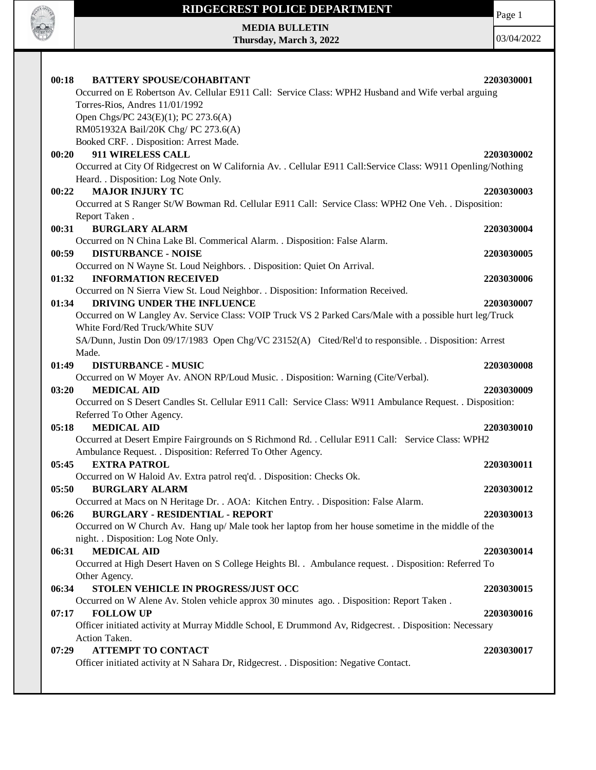

Page 1

**MEDIA BULLETIN Thursday, March 3, 2022**

| 00:18<br><b>BATTERY SPOUSE/COHABITANT</b>                                                                       | 2203030001 |
|-----------------------------------------------------------------------------------------------------------------|------------|
| Occurred on E Robertson Av. Cellular E911 Call: Service Class: WPH2 Husband and Wife verbal arguing             |            |
| Torres-Rios, Andres 11/01/1992                                                                                  |            |
| Open Chgs/PC 243(E)(1); PC 273.6(A)                                                                             |            |
| RM051932A Bail/20K Chg/ PC 273.6(A)                                                                             |            |
| Booked CRF. . Disposition: Arrest Made.                                                                         |            |
| 911 WIRELESS CALL<br>00:20                                                                                      | 2203030002 |
| Occurred at City Of Ridgecrest on W California Av. . Cellular E911 Call:Service Class: W911 Openling/Nothing    |            |
| Heard. . Disposition: Log Note Only.                                                                            |            |
| <b>MAJOR INJURY TC</b><br>00:22                                                                                 | 2203030003 |
| Occurred at S Ranger St/W Bowman Rd. Cellular E911 Call: Service Class: WPH2 One Veh. . Disposition:            |            |
| Report Taken.                                                                                                   |            |
| <b>BURGLARY ALARM</b><br>00:31                                                                                  | 2203030004 |
| Occurred on N China Lake Bl. Commerical Alarm. . Disposition: False Alarm.                                      |            |
| <b>DISTURBANCE - NOISE</b><br>00:59                                                                             | 2203030005 |
| Occurred on N Wayne St. Loud Neighbors. . Disposition: Quiet On Arrival.                                        |            |
| <b>INFORMATION RECEIVED</b><br>01:32                                                                            | 2203030006 |
| Occurred on N Sierra View St. Loud Neighbor. . Disposition: Information Received.                               |            |
| DRIVING UNDER THE INFLUENCE<br>01:34                                                                            | 2203030007 |
| Occurred on W Langley Av. Service Class: VOIP Truck VS 2 Parked Cars/Male with a possible hurt leg/Truck        |            |
| White Ford/Red Truck/White SUV                                                                                  |            |
| SA/Dunn, Justin Don 09/17/1983 Open Chg/VC 23152(A) Cited/Rel'd to responsible. Disposition: Arrest             |            |
| Made.<br>01:49                                                                                                  |            |
| <b>DISTURBANCE - MUSIC</b><br>Occurred on W Moyer Av. ANON RP/Loud Music. . Disposition: Warning (Cite/Verbal). | 2203030008 |
| 03:20<br><b>MEDICAL AID</b>                                                                                     | 2203030009 |
| Occurred on S Desert Candles St. Cellular E911 Call: Service Class: W911 Ambulance Request. . Disposition:      |            |
| Referred To Other Agency.                                                                                       |            |
| 05:18<br><b>MEDICAL AID</b>                                                                                     | 2203030010 |
| Occurred at Desert Empire Fairgrounds on S Richmond Rd. . Cellular E911 Call: Service Class: WPH2               |            |
| Ambulance Request. . Disposition: Referred To Other Agency.                                                     |            |
| <b>EXTRA PATROL</b><br>05:45                                                                                    | 2203030011 |
| Occurred on W Haloid Av. Extra patrol req'd. . Disposition: Checks Ok.                                          |            |
| <b>BURGLARY ALARM</b><br>05:50                                                                                  | 2203030012 |
| Occurred at Macs on N Heritage Dr. . AOA: Kitchen Entry. . Disposition: False Alarm.                            |            |
| <b>BURGLARY - RESIDENTIAL - REPORT</b><br>06:26                                                                 | 2203030013 |
| Occurred on W Church Av. Hang up/ Male took her laptop from her house sometime in the middle of the             |            |
| night. . Disposition: Log Note Only.                                                                            |            |
| <b>MEDICAL AID</b><br>06:31                                                                                     | 2203030014 |
| Occurred at High Desert Haven on S College Heights Bl. . Ambulance request. . Disposition: Referred To          |            |
| Other Agency.                                                                                                   |            |
| STOLEN VEHICLE IN PROGRESS/JUST OCC<br>06:34                                                                    | 2203030015 |
| Occurred on W Alene Av. Stolen vehicle approx 30 minutes ago. . Disposition: Report Taken.                      |            |
| <b>FOLLOW UP</b><br>07:17                                                                                       | 2203030016 |
| Officer initiated activity at Murray Middle School, E Drummond Av, Ridgecrest. . Disposition: Necessary         |            |
| Action Taken.                                                                                                   |            |
| <b>ATTEMPT TO CONTACT</b><br>07:29                                                                              | 2203030017 |
| Officer initiated activity at N Sahara Dr, Ridgecrest. . Disposition: Negative Contact.                         |            |
|                                                                                                                 |            |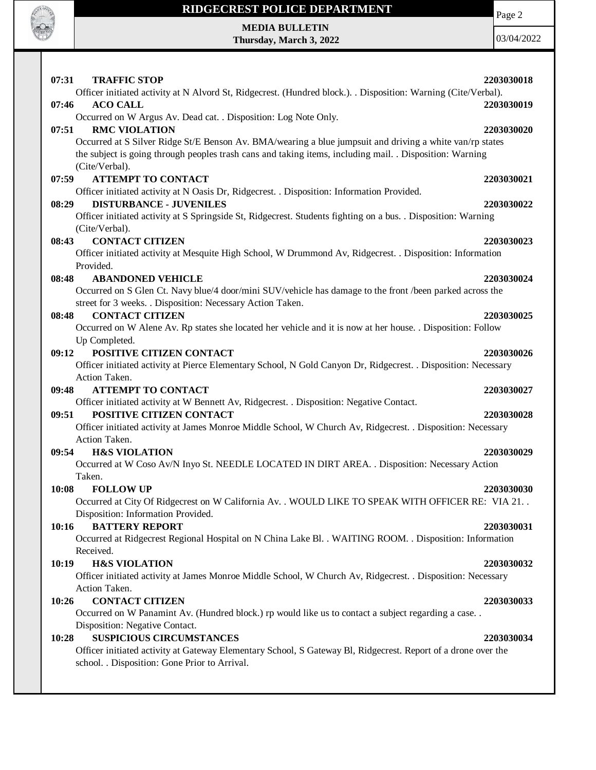

Page 2

**MEDIA BULLETIN Thursday, March 3, 2022**

| <b>TRAFFIC STOP</b><br>07:31                                                                                                      | 2203030018 |
|-----------------------------------------------------------------------------------------------------------------------------------|------------|
| Officer initiated activity at N Alvord St, Ridgecrest. (Hundred block.). . Disposition: Warning (Cite/Verbal).<br><b>ACO CALL</b> |            |
| 07:46<br>Occurred on W Argus Av. Dead cat. . Disposition: Log Note Only.                                                          | 2203030019 |
| <b>RMC VIOLATION</b><br>07:51                                                                                                     | 2203030020 |
| Occurred at S Silver Ridge St/E Benson Av. BMA/wearing a blue jumpsuit and driving a white van/rp states                          |            |
| the subject is going through peoples trash cans and taking items, including mail. . Disposition: Warning                          |            |
| (Cite/Verbal).                                                                                                                    |            |
| 07:59<br><b>ATTEMPT TO CONTACT</b>                                                                                                | 2203030021 |
| Officer initiated activity at N Oasis Dr, Ridgecrest. . Disposition: Information Provided.                                        |            |
| <b>DISTURBANCE - JUVENILES</b><br>08:29                                                                                           | 2203030022 |
| Officer initiated activity at S Springside St, Ridgecrest. Students fighting on a bus. . Disposition: Warning                     |            |
| (Cite/Verbal).                                                                                                                    |            |
| 08:43<br><b>CONTACT CITIZEN</b>                                                                                                   | 2203030023 |
| Officer initiated activity at Mesquite High School, W Drummond Av, Ridgecrest. . Disposition: Information                         |            |
| Provided.                                                                                                                         |            |
| <b>ABANDONED VEHICLE</b><br>08:48                                                                                                 | 2203030024 |
| Occurred on S Glen Ct. Navy blue/4 door/mini SUV/vehicle has damage to the front /been parked across the                          |            |
| street for 3 weeks. . Disposition: Necessary Action Taken.                                                                        |            |
| <b>CONTACT CITIZEN</b><br>08:48                                                                                                   | 2203030025 |
| Occurred on W Alene Av. Rp states she located her vehicle and it is now at her house. . Disposition: Follow<br>Up Completed.      |            |
| 09:12<br>POSITIVE CITIZEN CONTACT                                                                                                 | 2203030026 |
| Officer initiated activity at Pierce Elementary School, N Gold Canyon Dr, Ridgecrest. . Disposition: Necessary                    |            |
| Action Taken.                                                                                                                     |            |
| 09:48<br><b>ATTEMPT TO CONTACT</b>                                                                                                | 2203030027 |
| Officer initiated activity at W Bennett Av, Ridgecrest. . Disposition: Negative Contact.                                          |            |
| 09:51<br>POSITIVE CITIZEN CONTACT                                                                                                 | 2203030028 |
| Officer initiated activity at James Monroe Middle School, W Church Av, Ridgecrest. . Disposition: Necessary                       |            |
| Action Taken.                                                                                                                     |            |
| <b>H&amp;S VIOLATION</b><br>09:54                                                                                                 | 2203030029 |
| Occurred at W Coso Av/N Inyo St. NEEDLE LOCATED IN DIRT AREA. . Disposition: Necessary Action                                     |            |
| Taken.                                                                                                                            |            |
| 10:08<br><b>FOLLOW UP</b>                                                                                                         | 2203030030 |
| Occurred at City Of Ridgecrest on W California Av. . WOULD LIKE TO SPEAK WITH OFFICER RE: VIA 21. .                               |            |
| Disposition: Information Provided.                                                                                                |            |
| <b>BATTERY REPORT</b><br>10:16                                                                                                    | 2203030031 |
| Occurred at Ridgecrest Regional Hospital on N China Lake Bl. . WAITING ROOM. . Disposition: Information<br>Received.              |            |
| 10:19<br><b>H&amp;S VIOLATION</b>                                                                                                 | 2203030032 |
| Officer initiated activity at James Monroe Middle School, W Church Av, Ridgecrest. . Disposition: Necessary                       |            |
| Action Taken.                                                                                                                     |            |
| <b>CONTACT CITIZEN</b><br>10:26                                                                                                   | 2203030033 |
| Occurred on W Panamint Av. (Hundred block.) rp would like us to contact a subject regarding a case                                |            |
| Disposition: Negative Contact.                                                                                                    |            |
| <b>SUSPICIOUS CIRCUMSTANCES</b><br>10:28                                                                                          | 2203030034 |
| Officer initiated activity at Gateway Elementary School, S Gateway Bl, Ridgecrest. Report of a drone over the                     |            |
| school. . Disposition: Gone Prior to Arrival.                                                                                     |            |
|                                                                                                                                   |            |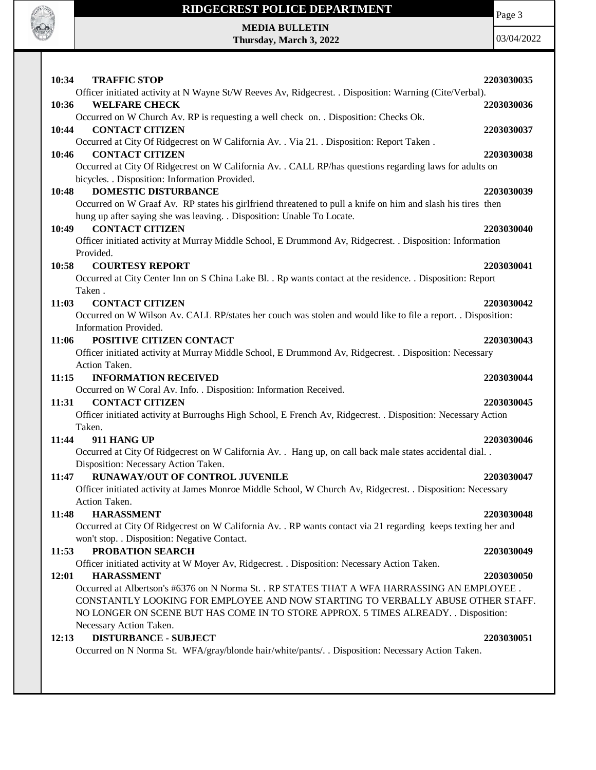

Page 3

**MEDIA BULLETIN Thursday, March 3, 2022**

| 10:34<br><b>TRAFFIC STOP</b><br>2203030035                                                                    |  |
|---------------------------------------------------------------------------------------------------------------|--|
| Officer initiated activity at N Wayne St/W Reeves Av, Ridgecrest. . Disposition: Warning (Cite/Verbal).       |  |
| <b>WELFARE CHECK</b><br>10:36<br>2203030036                                                                   |  |
| Occurred on W Church Av. RP is requesting a well check on. . Disposition: Checks Ok.                          |  |
| <b>CONTACT CITIZEN</b><br>2203030037<br>10:44                                                                 |  |
| Occurred at City Of Ridgecrest on W California Av. . Via 21. . Disposition: Report Taken.                     |  |
| <b>CONTACT CITIZEN</b><br>10:46<br>2203030038                                                                 |  |
| Occurred at City Of Ridgecrest on W California Av. . CALL RP/has questions regarding laws for adults on       |  |
| bicycles. . Disposition: Information Provided.                                                                |  |
| <b>DOMESTIC DISTURBANCE</b><br>10:48<br>2203030039                                                            |  |
| Occurred on W Graaf Av. RP states his girlfriend threatened to pull a knife on him and slash his tires then   |  |
| hung up after saying she was leaving. . Disposition: Unable To Locate.                                        |  |
| <b>CONTACT CITIZEN</b><br>10:49<br>2203030040                                                                 |  |
| Officer initiated activity at Murray Middle School, E Drummond Av, Ridgecrest. . Disposition: Information     |  |
| Provided.                                                                                                     |  |
| <b>COURTESY REPORT</b><br>10:58<br>2203030041                                                                 |  |
| Occurred at City Center Inn on S China Lake Bl. . Rp wants contact at the residence. . Disposition: Report    |  |
| Taken.                                                                                                        |  |
| <b>CONTACT CITIZEN</b><br>2203030042<br>11:03                                                                 |  |
| Occurred on W Wilson Av. CALL RP/states her couch was stolen and would like to file a report. . Disposition:  |  |
| Information Provided.<br>2203030043                                                                           |  |
| POSITIVE CITIZEN CONTACT<br>11:06                                                                             |  |
| Officer initiated activity at Murray Middle School, E Drummond Av, Ridgecrest. . Disposition: Necessary       |  |
| Action Taken.<br>11:15<br><b>INFORMATION RECEIVED</b><br>2203030044                                           |  |
| Occurred on W Coral Av. Info. . Disposition: Information Received.                                            |  |
| <b>CONTACT CITIZEN</b><br>11:31<br>2203030045                                                                 |  |
| Officer initiated activity at Burroughs High School, E French Av, Ridgecrest. . Disposition: Necessary Action |  |
| Taken.                                                                                                        |  |
| 2203030046<br>11:44<br>911 HANG UP                                                                            |  |
| Occurred at City Of Ridgecrest on W California Av. . Hang up, on call back male states accidental dial. .     |  |
| Disposition: Necessary Action Taken.                                                                          |  |
| RUNAWAY/OUT OF CONTROL JUVENILE<br>11:47<br>2203030047                                                        |  |
| Officer initiated activity at James Monroe Middle School, W Church Av, Ridgecrest. . Disposition: Necessary   |  |
| Action Taken.                                                                                                 |  |
| <b>HARASSMENT</b><br>11:48<br>2203030048                                                                      |  |
| Occurred at City Of Ridgecrest on W California Av. . RP wants contact via 21 regarding keeps texting her and  |  |
| won't stop. . Disposition: Negative Contact.                                                                  |  |
| PROBATION SEARCH<br>11:53<br>2203030049                                                                       |  |
| Officer initiated activity at W Moyer Av, Ridgecrest. . Disposition: Necessary Action Taken.                  |  |
| <b>HARASSMENT</b><br>12:01<br>2203030050                                                                      |  |
| Occurred at Albertson's #6376 on N Norma St. . RP STATES THAT A WFA HARRASSING AN EMPLOYEE.                   |  |
| CONSTANTLY LOOKING FOR EMPLOYEE AND NOW STARTING TO VERBALLY ABUSE OTHER STAFF.                               |  |
| NO LONGER ON SCENE BUT HAS COME IN TO STORE APPROX. 5 TIMES ALREADY. . Disposition:                           |  |
| Necessary Action Taken.                                                                                       |  |
| <b>DISTURBANCE - SUBJECT</b><br>2203030051<br>12:13                                                           |  |
| Occurred on N Norma St. WFA/gray/blonde hair/white/pants/. . Disposition: Necessary Action Taken.             |  |
|                                                                                                               |  |
|                                                                                                               |  |
|                                                                                                               |  |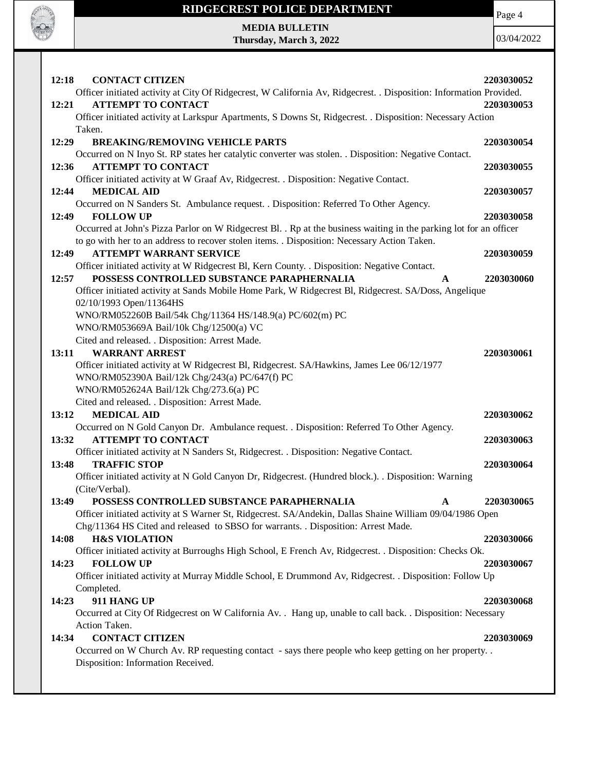



**RADIO DE LA CARDIO** 

**MEDIA BULLETIN Thursday, March 3, 2022**

| 12:18<br><b>CONTACT CITIZEN</b>                                                                                                                     | 2203030052 |
|-----------------------------------------------------------------------------------------------------------------------------------------------------|------------|
| Officer initiated activity at City Of Ridgecrest, W California Av, Ridgecrest. . Disposition: Information Provided.                                 |            |
| <b>ATTEMPT TO CONTACT</b><br>12:21                                                                                                                  | 2203030053 |
| Officer initiated activity at Larkspur Apartments, S Downs St, Ridgecrest. . Disposition: Necessary Action                                          |            |
| Taken.                                                                                                                                              |            |
| 12:29<br><b>BREAKING/REMOVING VEHICLE PARTS</b>                                                                                                     | 2203030054 |
| Occurred on N Inyo St. RP states her catalytic converter was stolen. . Disposition: Negative Contact.                                               |            |
| <b>ATTEMPT TO CONTACT</b><br>12:36                                                                                                                  | 2203030055 |
| Officer initiated activity at W Graaf Av, Ridgecrest. . Disposition: Negative Contact.                                                              |            |
| <b>MEDICAL AID</b><br>12:44                                                                                                                         | 2203030057 |
| Occurred on N Sanders St. Ambulance request. . Disposition: Referred To Other Agency.                                                               |            |
| <b>FOLLOW UP</b><br>12:49                                                                                                                           | 2203030058 |
| Occurred at John's Pizza Parlor on W Ridgecrest Bl. . Rp at the business waiting in the parking lot for an officer                                  |            |
| to go with her to an address to recover stolen items. . Disposition: Necessary Action Taken.                                                        |            |
| <b>ATTEMPT WARRANT SERVICE</b><br>12:49                                                                                                             | 2203030059 |
| Officer initiated activity at W Ridgecrest Bl, Kern County. . Disposition: Negative Contact.<br>POSSESS CONTROLLED SUBSTANCE PARAPHERNALIA<br>12:57 | 2203030060 |
| A<br>Officer initiated activity at Sands Mobile Home Park, W Ridgecrest Bl, Ridgecrest. SA/Doss, Angelique                                          |            |
| 02/10/1993 Open/11364HS                                                                                                                             |            |
| WNO/RM052260B Bail/54k Chg/11364 HS/148.9(a) PC/602(m) PC                                                                                           |            |
| WNO/RM053669A Bail/10k Chg/12500(a) VC                                                                                                              |            |
| Cited and released. . Disposition: Arrest Made.                                                                                                     |            |
| <b>WARRANT ARREST</b><br>13:11                                                                                                                      | 2203030061 |
| Officer initiated activity at W Ridgecrest Bl, Ridgecrest. SA/Hawkins, James Lee 06/12/1977                                                         |            |
| WNO/RM052390A Bail/12k Chg/243(a) PC/647(f) PC                                                                                                      |            |
| WNO/RM052624A Bail/12k Chg/273.6(a) PC                                                                                                              |            |
| Cited and released. . Disposition: Arrest Made.                                                                                                     |            |
| <b>MEDICAL AID</b><br>13:12                                                                                                                         | 2203030062 |
| Occurred on N Gold Canyon Dr. Ambulance request. . Disposition: Referred To Other Agency.                                                           |            |
| <b>ATTEMPT TO CONTACT</b><br>13:32                                                                                                                  | 2203030063 |
| Officer initiated activity at N Sanders St, Ridgecrest. . Disposition: Negative Contact.                                                            |            |
| 13:48<br><b>TRAFFIC STOP</b>                                                                                                                        | 2203030064 |
| Officer initiated activity at N Gold Canyon Dr, Ridgecrest. (Hundred block.). . Disposition: Warning                                                |            |
| (Cite/Verbal).                                                                                                                                      |            |
| POSSESS CONTROLLED SUBSTANCE PARAPHERNALIA<br>13:49<br>A                                                                                            | 2203030065 |
| Officer initiated activity at S Warner St, Ridgecrest. SA/Andekin, Dallas Shaine William 09/04/1986 Open                                            |            |
| Chg/11364 HS Cited and released to SBSO for warrants. . Disposition: Arrest Made.                                                                   |            |
| <b>H&amp;S VIOLATION</b><br>14:08                                                                                                                   | 2203030066 |
| Officer initiated activity at Burroughs High School, E French Av, Ridgecrest. . Disposition: Checks Ok.                                             |            |
| <b>FOLLOW UP</b><br>14:23                                                                                                                           | 2203030067 |
| Officer initiated activity at Murray Middle School, E Drummond Av, Ridgecrest. . Disposition: Follow Up                                             |            |
| Completed.                                                                                                                                          |            |
| 911 HANG UP<br>14:23                                                                                                                                | 2203030068 |
| Occurred at City Of Ridgecrest on W California Av. . Hang up, unable to call back. . Disposition: Necessary                                         |            |
| Action Taken.                                                                                                                                       |            |
| <b>CONTACT CITIZEN</b><br>14:34                                                                                                                     | 2203030069 |
| Occurred on W Church Av. RP requesting contact - says there people who keep getting on her property                                                 |            |
| Disposition: Information Received.                                                                                                                  |            |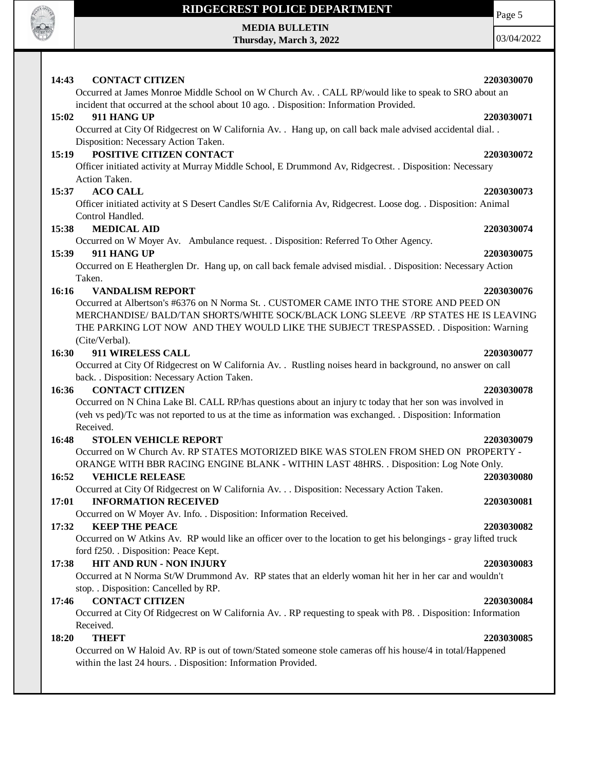

#### **MEDIA BULLETIN Thursday, March 3, 2022**

03/04/2022

Page 5

## **14:43 CONTACT CITIZEN 2203030070**

Occurred at James Monroe Middle School on W Church Av. . CALL RP/would like to speak to SRO about an incident that occurred at the school about 10 ago. . Disposition: Information Provided.

### **15:02 911 HANG UP 2203030071**

Occurred at City Of Ridgecrest on W California Av. . Hang up, on call back male advised accidental dial. . Disposition: Necessary Action Taken.

### **15:19 POSITIVE CITIZEN CONTACT 2203030072**

Officer initiated activity at Murray Middle School, E Drummond Av, Ridgecrest. . Disposition: Necessary Action Taken.

### **15:37 ACO CALL 2203030073**

Officer initiated activity at S Desert Candles St/E California Av, Ridgecrest. Loose dog. . Disposition: Animal Control Handled.

### **15:38 MEDICAL AID 2203030074**

Occurred on W Moyer Av. Ambulance request. . Disposition: Referred To Other Agency.

#### **15:39 911 HANG UP 2203030075**

Occurred on E Heatherglen Dr. Hang up, on call back female advised misdial. . Disposition: Necessary Action Taken.

### **16:16 VANDALISM REPORT 2203030076**

Occurred at Albertson's #6376 on N Norma St. . CUSTOMER CAME INTO THE STORE AND PEED ON MERCHANDISE/ BALD/TAN SHORTS/WHITE SOCK/BLACK LONG SLEEVE /RP STATES HE IS LEAVING THE PARKING LOT NOW AND THEY WOULD LIKE THE SUBJECT TRESPASSED. . Disposition: Warning (Cite/Verbal).

### **16:30 911 WIRELESS CALL 2203030077**

Occurred at City Of Ridgecrest on W California Av. . Rustling noises heard in background, no answer on call back. . Disposition: Necessary Action Taken.

### **16:36 CONTACT CITIZEN 2203030078**

Occurred on N China Lake Bl. CALL RP/has questions about an injury tc today that her son was involved in (veh vs ped)/Tc was not reported to us at the time as information was exchanged. . Disposition: Information Received.

### **16:48 STOLEN VEHICLE REPORT 2203030079**

| Occurred on W Church Av. RP STATES MOTORIZED BIKE WAS STOLEN FROM SHED ON PROPERTY -   |
|----------------------------------------------------------------------------------------|
| ORANGE WITH BBR RACING ENGINE BLANK - WITHIN LAST 48HRS. . Disposition: Log Note Only. |

### **16:52 VEHICLE RELEASE 2203030080**

Occurred at City Of Ridgecrest on W California Av. . . Disposition: Necessary Action Taken.

#### **17:01 INFORMATION RECEIVED 2203030081**

Occurred on W Moyer Av. Info. . Disposition: Information Received.

### **17:32 KEEP THE PEACE 2203030082**

Occurred on W Atkins Av. RP would like an officer over to the location to get his belongings - gray lifted truck ford f250. . Disposition: Peace Kept.

### **17:38 HIT AND RUN - NON INJURY 2203030083**

Occurred at N Norma St/W Drummond Av. RP states that an elderly woman hit her in her car and wouldn't stop. . Disposition: Cancelled by RP.

### **17:46 CONTACT CITIZEN 2203030084**

Occurred at City Of Ridgecrest on W California Av. . RP requesting to speak with P8. . Disposition: Information Received.

### **18:20 THEFT 2203030085**

Occurred on W Haloid Av. RP is out of town/Stated someone stole cameras off his house/4 in total/Happened within the last 24 hours. . Disposition: Information Provided.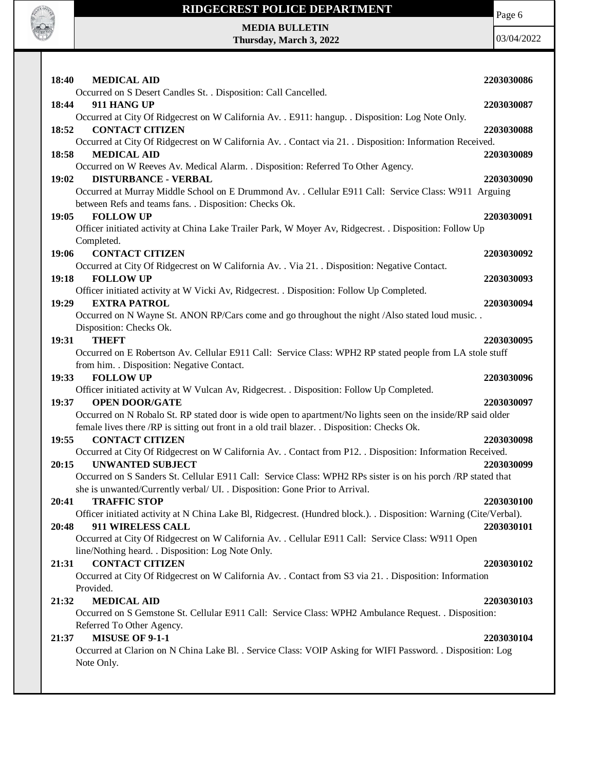

Page 6

**MEDIA BULLETIN Thursday, March 3, 2022**

| 18:40 | <b>MEDICAL AID</b>                                                                                                                                             | 2203030086 |
|-------|----------------------------------------------------------------------------------------------------------------------------------------------------------------|------------|
|       | Occurred on S Desert Candles St. . Disposition: Call Cancelled.                                                                                                |            |
| 18:44 | 911 HANG UP                                                                                                                                                    | 2203030087 |
|       | Occurred at City Of Ridgecrest on W California Av. . E911: hangup. . Disposition: Log Note Only.                                                               |            |
| 18:52 | <b>CONTACT CITIZEN</b>                                                                                                                                         | 2203030088 |
|       | Occurred at City Of Ridgecrest on W California Av. . Contact via 21. . Disposition: Information Received.                                                      |            |
| 18:58 | <b>MEDICAL AID</b>                                                                                                                                             | 2203030089 |
|       | Occurred on W Reeves Av. Medical Alarm. . Disposition: Referred To Other Agency.                                                                               |            |
| 19:02 | <b>DISTURBANCE - VERBAL</b>                                                                                                                                    | 2203030090 |
|       | Occurred at Murray Middle School on E Drummond Av. . Cellular E911 Call: Service Class: W911 Arguing<br>between Refs and teams fans. . Disposition: Checks Ok. |            |
| 19:05 | <b>FOLLOW UP</b>                                                                                                                                               | 2203030091 |
|       | Officer initiated activity at China Lake Trailer Park, W Moyer Av, Ridgecrest. . Disposition: Follow Up                                                        |            |
|       | Completed.                                                                                                                                                     |            |
| 19:06 | <b>CONTACT CITIZEN</b>                                                                                                                                         | 2203030092 |
|       | Occurred at City Of Ridgecrest on W California Av. . Via 21. . Disposition: Negative Contact.                                                                  |            |
| 19:18 | <b>FOLLOW UP</b>                                                                                                                                               | 2203030093 |
|       | Officer initiated activity at W Vicki Av, Ridgecrest. . Disposition: Follow Up Completed.                                                                      |            |
| 19:29 | <b>EXTRA PATROL</b>                                                                                                                                            | 2203030094 |
|       | Occurred on N Wayne St. ANON RP/Cars come and go throughout the night /Also stated loud music                                                                  |            |
|       | Disposition: Checks Ok.                                                                                                                                        |            |
| 19:31 | <b>THEFT</b>                                                                                                                                                   | 2203030095 |
|       | Occurred on E Robertson Av. Cellular E911 Call: Service Class: WPH2 RP stated people from LA stole stuff                                                       |            |
|       | from him. . Disposition: Negative Contact.                                                                                                                     |            |
| 19:33 | <b>FOLLOW UP</b>                                                                                                                                               | 2203030096 |
|       | Officer initiated activity at W Vulcan Av, Ridgecrest. . Disposition: Follow Up Completed.                                                                     |            |
| 19:37 | <b>OPEN DOOR/GATE</b>                                                                                                                                          | 2203030097 |
|       | Occurred on N Robalo St. RP stated door is wide open to apartment/No lights seen on the inside/RP said older                                                   |            |
|       | female lives there /RP is sitting out front in a old trail blazer. . Disposition: Checks Ok.                                                                   |            |
| 19:55 | <b>CONTACT CITIZEN</b>                                                                                                                                         | 2203030098 |
|       | Occurred at City Of Ridgecrest on W California Av. . Contact from P12. . Disposition: Information Received.                                                    |            |
| 20:15 | <b>UNWANTED SUBJECT</b>                                                                                                                                        | 2203030099 |
|       | Occurred on S Sanders St. Cellular E911 Call: Service Class: WPH2 RPs sister is on his porch /RP stated that                                                   |            |
|       | she is unwanted/Currently verbal/ UI. . Disposition: Gone Prior to Arrival.                                                                                    |            |
| 20:41 | <b>TRAFFIC STOP</b>                                                                                                                                            | 2203030100 |
|       | Officer initiated activity at N China Lake Bl, Ridgecrest. (Hundred block.). . Disposition: Warning (Cite/Verbal).                                             |            |
| 20:48 | 911 WIRELESS CALL                                                                                                                                              | 2203030101 |
|       | Occurred at City Of Ridgecrest on W California Av. . Cellular E911 Call: Service Class: W911 Open                                                              |            |
|       | line/Nothing heard. . Disposition: Log Note Only.                                                                                                              |            |
| 21:31 | <b>CONTACT CITIZEN</b>                                                                                                                                         | 2203030102 |
|       | Occurred at City Of Ridgecrest on W California Av. . Contact from S3 via 21. . Disposition: Information                                                        |            |
|       | Provided.                                                                                                                                                      |            |
| 21:32 | <b>MEDICAL AID</b>                                                                                                                                             | 2203030103 |
|       | Occurred on S Gemstone St. Cellular E911 Call: Service Class: WPH2 Ambulance Request. . Disposition:                                                           |            |
|       | Referred To Other Agency.<br>MISUSE OF 9-1-1                                                                                                                   |            |
| 21:37 | Occurred at Clarion on N China Lake Bl. . Service Class: VOIP Asking for WIFI Password. . Disposition: Log                                                     | 2203030104 |
|       | Note Only.                                                                                                                                                     |            |
|       |                                                                                                                                                                |            |
|       |                                                                                                                                                                |            |